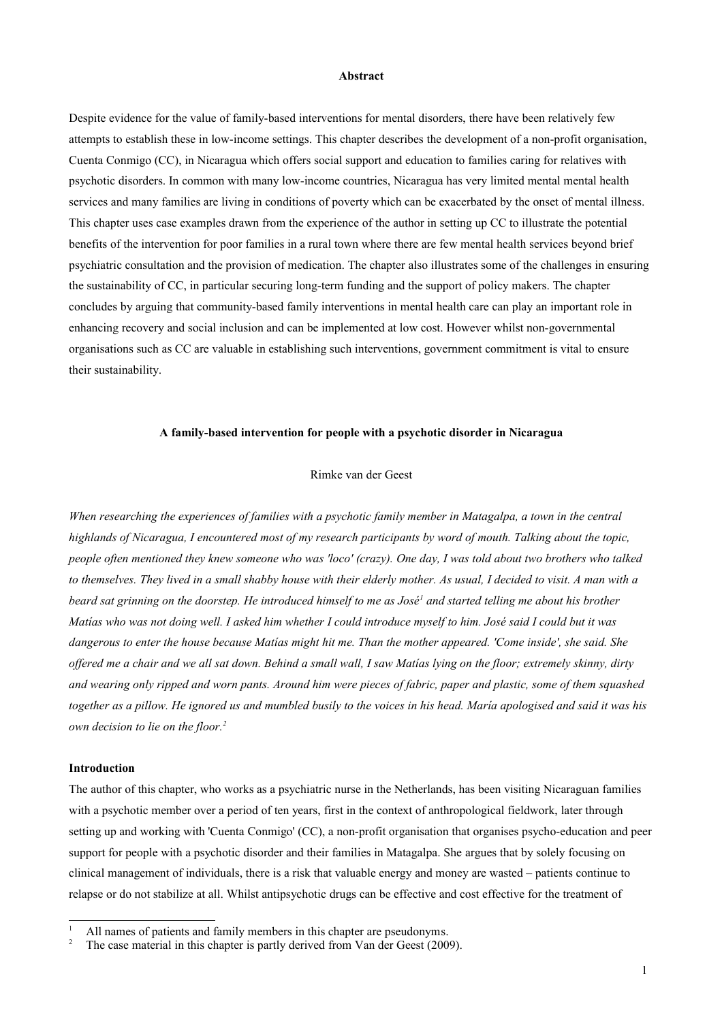## **Abstract**

Despite evidence for the value of family-based interventions for mental disorders, there have been relatively few attempts to establish these in low-income settings. This chapter describes the development of a non-profit organisation, Cuenta Conmigo (CC), in Nicaragua which offers social support and education to families caring for relatives with psychotic disorders. In common with many low-income countries, Nicaragua has very limited mental mental health services and many families are living in conditions of poverty which can be exacerbated by the onset of mental illness. This chapter uses case examples drawn from the experience of the author in setting up CC to illustrate the potential benefits of the intervention for poor families in a rural town where there are few mental health services beyond brief psychiatric consultation and the provision of medication. The chapter also illustrates some of the challenges in ensuring the sustainability of CC, in particular securing long-term funding and the support of policy makers. The chapter concludes by arguing that community-based family interventions in mental health care can play an important role in enhancing recovery and social inclusion and can be implemented at low cost. However whilst non-governmental organisations such as CC are valuable in establishing such interventions, government commitment is vital to ensure their sustainability.

# **A family-based intervention for people with a psychotic disorder in Nicaragua**

## Rimke van der Geest

*When researching the experiences of families with a psychotic family member in Matagalpa, a town in the central highlands of Nicaragua, I encountered most of my research participants by word of mouth. Talking about the topic, people often mentioned they knew someone who was 'loco' (crazy). One day, I was told about two brothers who talked to themselves. They lived in a small shabby house with their elderly mother. As usual, I decided to visit. A man with a beard sat grinning on the doorstep. He introduced himself to me as José[1](#page-0-0) and started telling me about his brother Matías who was not doing well. I asked him whether I could introduce myself to him. José said I could but it was dangerous to enter the house because Matías might hit me. Than the mother appeared. 'Come inside', she said. She offered me a chair and we all sat down. Behind a small wall, I saw Matías lying on the floor; extremely skinny, dirty and wearing only ripped and worn pants. Around him were pieces of fabric, paper and plastic, some of them squashed*  together as a pillow. He ignored us and mumbled busily to the voices in his head. María apologised and said it was his *own decision to lie on the floor.[2](#page-0-1)*

#### **Introduction**

The author of this chapter, who works as a psychiatric nurse in the Netherlands, has been visiting Nicaraguan families with a psychotic member over a period of ten years, first in the context of anthropological fieldwork, later through setting up and working with 'Cuenta Conmigo' (CC), a non-profit organisation that organises psycho-education and peer support for people with a psychotic disorder and their families in Matagalpa. She argues that by solely focusing on clinical management of individuals, there is a risk that valuable energy and money are wasted – patients continue to relapse or do not stabilize at all. Whilst antipsychotic drugs can be effective and cost effective for the treatment of

<span id="page-0-0"></span>All names of patients and family members in this chapter are pseudonyms.

<span id="page-0-1"></span><sup>2</sup> The case material in this chapter is partly derived from Van der Geest (2009).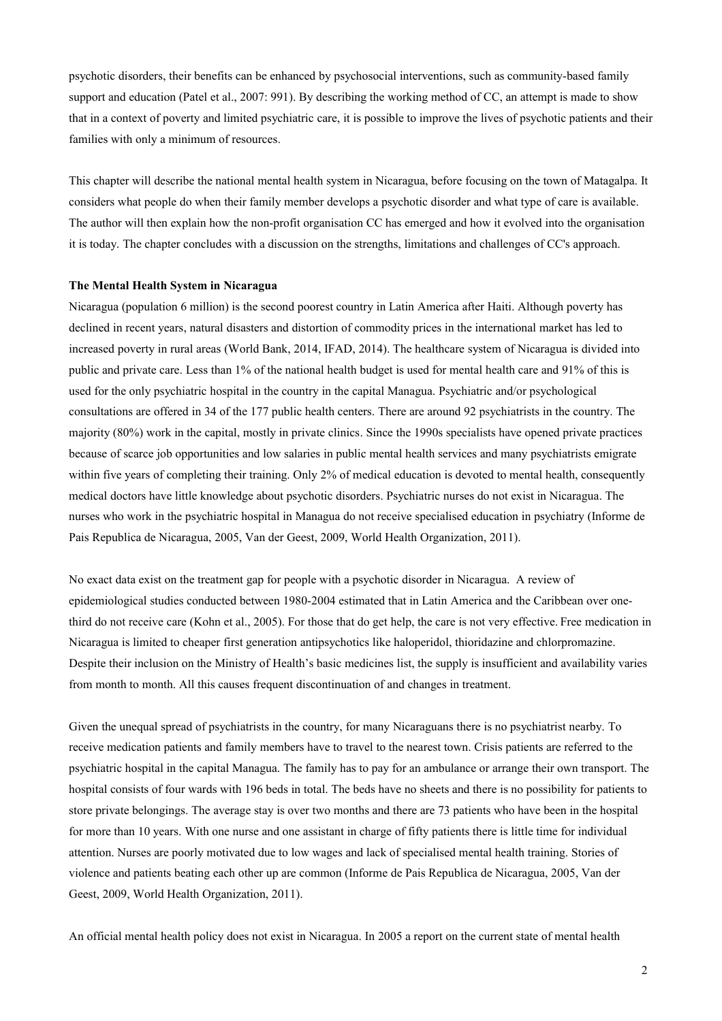psychotic disorders, their benefits can be enhanced by psychosocial interventions, such as community-based family support and education (Patel et al., 2007: 991). By describing the working method of CC, an attempt is made to show that in a context of poverty and limited psychiatric care, it is possible to improve the lives of psychotic patients and their families with only a minimum of resources.

This chapter will describe the national mental health system in Nicaragua, before focusing on the town of Matagalpa. It considers what people do when their family member develops a psychotic disorder and what type of care is available. The author will then explain how the non-profit organisation CC has emerged and how it evolved into the organisation it is today. The chapter concludes with a discussion on the strengths, limitations and challenges of CC's approach.

## **The Mental Health System in Nicaragua**

Nicaragua (population 6 million) is the second poorest country in Latin America after Haiti. Although poverty has declined in recent years, natural disasters and distortion of commodity prices in the international market has led to increased poverty in rural areas (World Bank, 2014, IFAD, 2014). The healthcare system of Nicaragua is divided into public and private care. Less than 1% of the national health budget is used for mental health care and 91% of this is used for the only psychiatric hospital in the country in the capital Managua. Psychiatric and/or psychological consultations are offered in 34 of the 177 public health centers. There are around 92 psychiatrists in the country. The majority (80%) work in the capital, mostly in private clinics. Since the 1990s specialists have opened private practices because of scarce job opportunities and low salaries in public mental health services and many psychiatrists emigrate within five years of completing their training. Only 2% of medical education is devoted to mental health, consequently medical doctors have little knowledge about psychotic disorders. Psychiatric nurses do not exist in Nicaragua. The nurses who work in the psychiatric hospital in Managua do not receive specialised education in psychiatry (Informe de Pais Republica de Nicaragua, 2005, Van der Geest, 2009, World Health Organization, 2011).

No exact data exist on the treatment gap for people with a psychotic disorder in Nicaragua. A review of epidemiological studies conducted between 1980-2004 estimated that in Latin America and the Caribbean over onethird do not receive care (Kohn et al., 2005). For those that do get help, the care is not very effective. Free medication in Nicaragua is limited to cheaper first generation antipsychotics like haloperidol, thioridazine and chlorpromazine. Despite their inclusion on the Ministry of Health's basic medicines list, the supply is insufficient and availability varies from month to month. All this causes frequent discontinuation of and changes in treatment.

Given the unequal spread of psychiatrists in the country, for many Nicaraguans there is no psychiatrist nearby. To receive medication patients and family members have to travel to the nearest town. Crisis patients are referred to the psychiatric hospital in the capital Managua. The family has to pay for an ambulance or arrange their own transport. The hospital consists of four wards with 196 beds in total. The beds have no sheets and there is no possibility for patients to store private belongings. The average stay is over two months and there are 73 patients who have been in the hospital for more than 10 years. With one nurse and one assistant in charge of fifty patients there is little time for individual attention. Nurses are poorly motivated due to low wages and lack of specialised mental health training. Stories of violence and patients beating each other up are common (Informe de Pais Republica de Nicaragua, 2005, Van der Geest, 2009, World Health Organization, 2011).

An official mental health policy does not exist in Nicaragua. In 2005 a report on the current state of mental health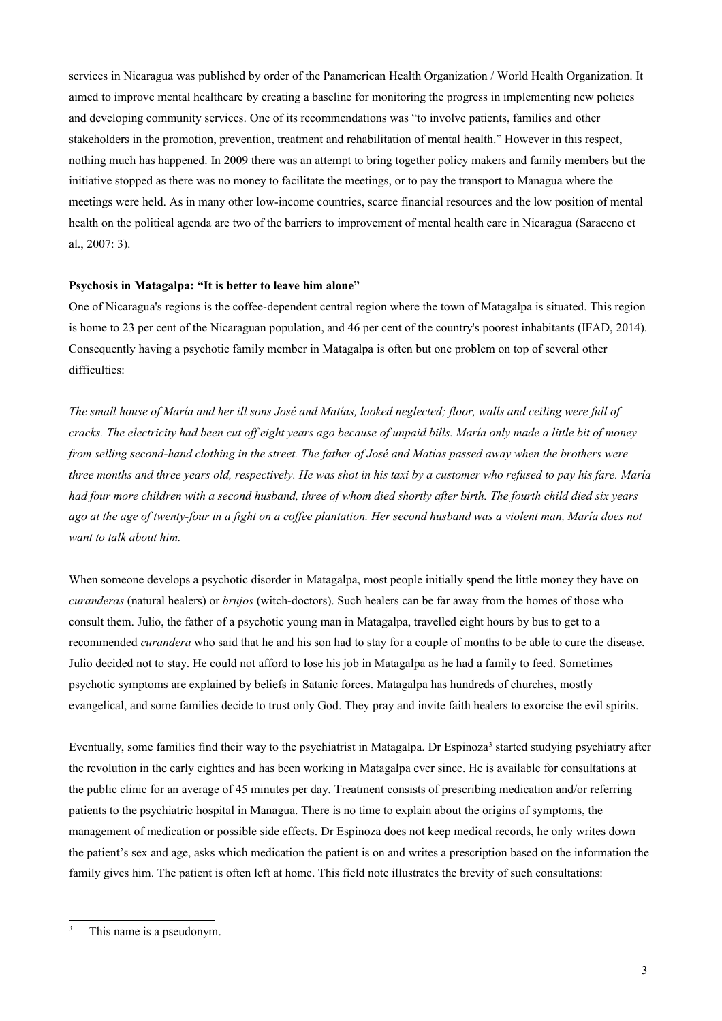services in Nicaragua was published by order of the Panamerican Health Organization / World Health Organization. It aimed to improve mental healthcare by creating a baseline for monitoring the progress in implementing new policies and developing community services. One of its recommendations was "to involve patients, families and other stakeholders in the promotion, prevention, treatment and rehabilitation of mental health." However in this respect, nothing much has happened. In 2009 there was an attempt to bring together policy makers and family members but the initiative stopped as there was no money to facilitate the meetings, or to pay the transport to Managua where the meetings were held. As in many other low-income countries, scarce financial resources and the low position of mental health on the political agenda are two of the barriers to improvement of mental health care in Nicaragua (Saraceno et al., 2007: 3).

## **Psychosis in Matagalpa: "It is better to leave him alone"**

One of Nicaragua's regions is the coffee-dependent central region where the town of Matagalpa is situated. This region is home to 23 per cent of the Nicaraguan population, and 46 per cent of the country's poorest inhabitants (IFAD, 2014). Consequently having a psychotic family member in Matagalpa is often but one problem on top of several other difficulties:

*The small house of María and her ill sons José and Matías, looked neglected; floor, walls and ceiling were full of cracks. The electricity had been cut off eight years ago because of unpaid bills. María only made a little bit of money from selling second-hand clothing in the street. The father of José and Matías passed away when the brothers were three months and three years old, respectively. He was shot in his taxi by a customer who refused to pay his fare. María had four more children with a second husband, three of whom died shortly after birth. The fourth child died six years ago at the age of twenty-four in a fight on a coffee plantation. Her second husband was a violent man, María does not want to talk about him.*

When someone develops a psychotic disorder in Matagalpa, most people initially spend the little money they have on *curanderas* (natural healers) or *brujos* (witch-doctors). Such healers can be far away from the homes of those who consult them. Julio, the father of a psychotic young man in Matagalpa, travelled eight hours by bus to get to a recommended *curandera* who said that he and his son had to stay for a couple of months to be able to cure the disease. Julio decided not to stay. He could not afford to lose his job in Matagalpa as he had a family to feed. Sometimes psychotic symptoms are explained by beliefs in Satanic forces. Matagalpa has hundreds of churches, mostly evangelical, and some families decide to trust only God. They pray and invite faith healers to exorcise the evil spirits.

Eventually, some families find their way to the psychiatrist in Matagalpa. Dr Espinoza<sup>[3](#page-2-0)</sup> started studying psychiatry after the revolution in the early eighties and has been working in Matagalpa ever since. He is available for consultations at the public clinic for an average of 45 minutes per day. Treatment consists of prescribing medication and/or referring patients to the psychiatric hospital in Managua. There is no time to explain about the origins of symptoms, the management of medication or possible side effects. Dr Espinoza does not keep medical records, he only writes down the patient's sex and age, asks which medication the patient is on and writes a prescription based on the information the family gives him. The patient is often left at home. This field note illustrates the brevity of such consultations:

<span id="page-2-0"></span><sup>&</sup>lt;sup>3</sup> This name is a pseudonym.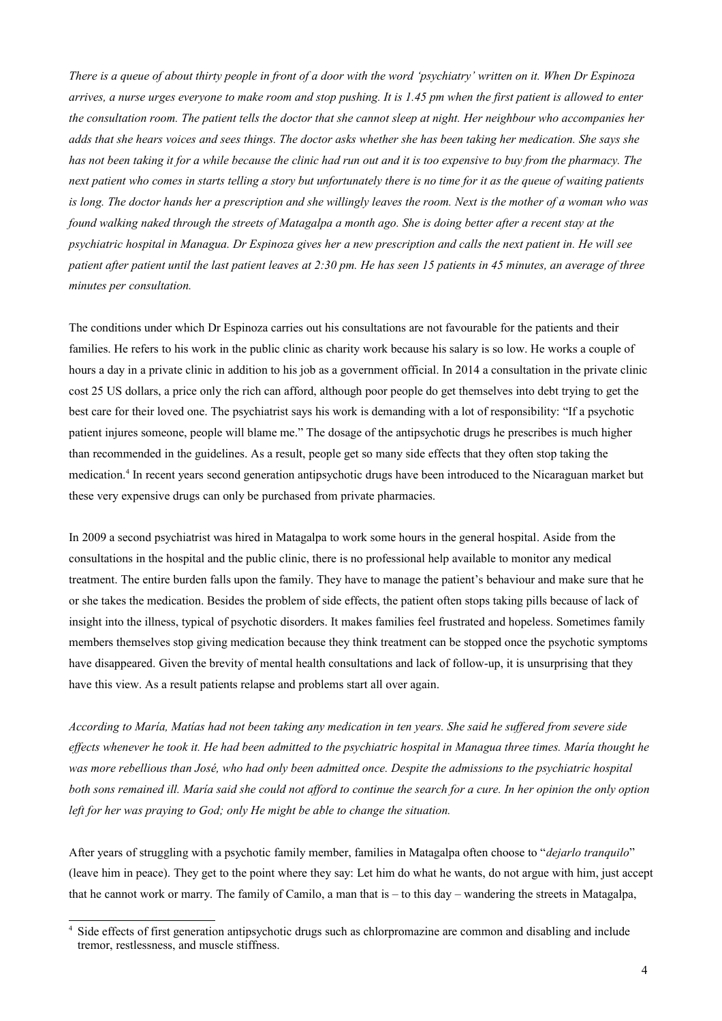*There is a queue of about thirty people in front of a door with the word 'psychiatry' written on it. When Dr Espinoza arrives, a nurse urges everyone to make room and stop pushing. It is 1.45 pm when the first patient is allowed to enter the consultation room. The patient tells the doctor that she cannot sleep at night. Her neighbour who accompanies her adds that she hears voices and sees things. The doctor asks whether she has been taking her medication. She says she has not been taking it for a while because the clinic had run out and it is too expensive to buy from the pharmacy. The next patient who comes in starts telling a story but unfortunately there is no time for it as the queue of waiting patients is long. The doctor hands her a prescription and she willingly leaves the room. Next is the mother of a woman who was found walking naked through the streets of Matagalpa a month ago. She is doing better after a recent stay at the psychiatric hospital in Managua. Dr Espinoza gives her a new prescription and calls the next patient in. He will see patient after patient until the last patient leaves at 2:30 pm. He has seen 15 patients in 45 minutes, an average of three minutes per consultation.*

The conditions under which Dr Espinoza carries out his consultations are not favourable for the patients and their families. He refers to his work in the public clinic as charity work because his salary is so low. He works a couple of hours a day in a private clinic in addition to his job as a government official. In 2014 a consultation in the private clinic cost 25 US dollars, a price only the rich can afford, although poor people do get themselves into debt trying to get the best care for their loved one. The psychiatrist says his work is demanding with a lot of responsibility: "If a psychotic patient injures someone, people will blame me." The dosage of the antipsychotic drugs he prescribes is much higher than recommended in the guidelines. As a result, people get so many side effects that they often stop taking the medication.<sup>[4](#page-3-0)</sup> In recent years second generation antipsychotic drugs have been introduced to the Nicaraguan market but these very expensive drugs can only be purchased from private pharmacies.

In 2009 a second psychiatrist was hired in Matagalpa to work some hours in the general hospital. Aside from the consultations in the hospital and the public clinic, there is no professional help available to monitor any medical treatment. The entire burden falls upon the family. They have to manage the patient's behaviour and make sure that he or she takes the medication. Besides the problem of side effects, the patient often stops taking pills because of lack of insight into the illness, typical of psychotic disorders. It makes families feel frustrated and hopeless. Sometimes family members themselves stop giving medication because they think treatment can be stopped once the psychotic symptoms have disappeared. Given the brevity of mental health consultations and lack of follow-up, it is unsurprising that they have this view. As a result patients relapse and problems start all over again.

*According to María, Matías had not been taking any medication in ten years. She said he suffered from severe side effects whenever he took it. He had been admitted to the psychiatric hospital in Managua three times. María thought he* was more rebellious than José, who had only been admitted once. Despite the admissions to the psychiatric hospital *both sons remained ill. María said she could not afford to continue the search for a cure. In her opinion the only option left for her was praying to God; only He might be able to change the situation.*

After years of struggling with a psychotic family member, families in Matagalpa often choose to "*dejarlo tranquilo*" (leave him in peace). They get to the point where they say: Let him do what he wants, do not argue with him, just accept that he cannot work or marry. The family of Camilo, a man that is – to this day – wandering the streets in Matagalpa,

<span id="page-3-0"></span><sup>4</sup> Side effects of first generation antipsychotic drugs such as chlorpromazine are common and disabling and include tremor, restlessness, and muscle stiffness.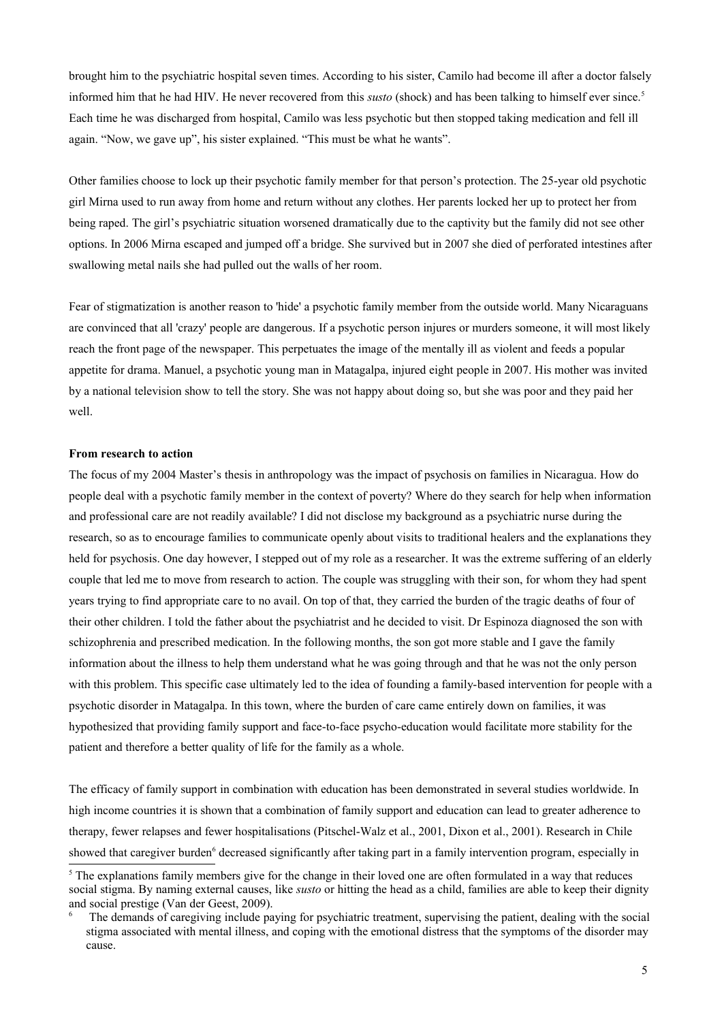brought him to the psychiatric hospital seven times. According to his sister, Camilo had become ill after a doctor falsely informed him that he had HIV. He never recovered from this *susto* (shock) and has been talking to himself ever since.[5](#page-4-0) Each time he was discharged from hospital, Camilo was less psychotic but then stopped taking medication and fell ill again. "Now, we gave up", his sister explained. "This must be what he wants".

Other families choose to lock up their psychotic family member for that person's protection. The 25-year old psychotic girl Mirna used to run away from home and return without any clothes. Her parents locked her up to protect her from being raped. The girl's psychiatric situation worsened dramatically due to the captivity but the family did not see other options. In 2006 Mirna escaped and jumped off a bridge. She survived but in 2007 she died of perforated intestines after swallowing metal nails she had pulled out the walls of her room.

Fear of stigmatization is another reason to 'hide' a psychotic family member from the outside world. Many Nicaraguans are convinced that all 'crazy' people are dangerous. If a psychotic person injures or murders someone, it will most likely reach the front page of the newspaper. This perpetuates the image of the mentally ill as violent and feeds a popular appetite for drama. Manuel, a psychotic young man in Matagalpa, injured eight people in 2007. His mother was invited by a national television show to tell the story. She was not happy about doing so, but she was poor and they paid her well.

## **From research to action**

The focus of my 2004 Master's thesis in anthropology was the impact of psychosis on families in Nicaragua. How do people deal with a psychotic family member in the context of poverty? Where do they search for help when information and professional care are not readily available? I did not disclose my background as a psychiatric nurse during the research, so as to encourage families to communicate openly about visits to traditional healers and the explanations they held for psychosis. One day however, I stepped out of my role as a researcher. It was the extreme suffering of an elderly couple that led me to move from research to action. The couple was struggling with their son, for whom they had spent years trying to find appropriate care to no avail. On top of that, they carried the burden of the tragic deaths of four of their other children. I told the father about the psychiatrist and he decided to visit. Dr Espinoza diagnosed the son with schizophrenia and prescribed medication. In the following months, the son got more stable and I gave the family information about the illness to help them understand what he was going through and that he was not the only person with this problem. This specific case ultimately led to the idea of founding a family-based intervention for people with a psychotic disorder in Matagalpa. In this town, where the burden of care came entirely down on families, it was hypothesized that providing family support and face-to-face psycho-education would facilitate more stability for the patient and therefore a better quality of life for the family as a whole.

The efficacy of family support in combination with education has been demonstrated in several studies worldwide. In high income countries it is shown that a combination of family support and education can lead to greater adherence to therapy, fewer relapses and fewer hospitalisations (Pitschel-Walz et al., 2001, Dixon et al., 2001). Research in Chile showed that caregiver burden<sup>[6](#page-4-1)</sup> decreased significantly after taking part in a family intervention program, especially in

<span id="page-4-0"></span> $<sup>5</sup>$  The explanations family members give for the change in their loved one are often formulated in a way that reduces</sup> social stigma. By naming external causes, like *susto* or hitting the head as a child, families are able to keep their dignity and social prestige (Van der Geest, 2009).

<span id="page-4-1"></span><sup>6</sup> The demands of caregiving include paying for psychiatric treatment, supervising the patient, dealing with the social stigma associated with mental illness, and coping with the emotional distress that the symptoms of the disorder may cause.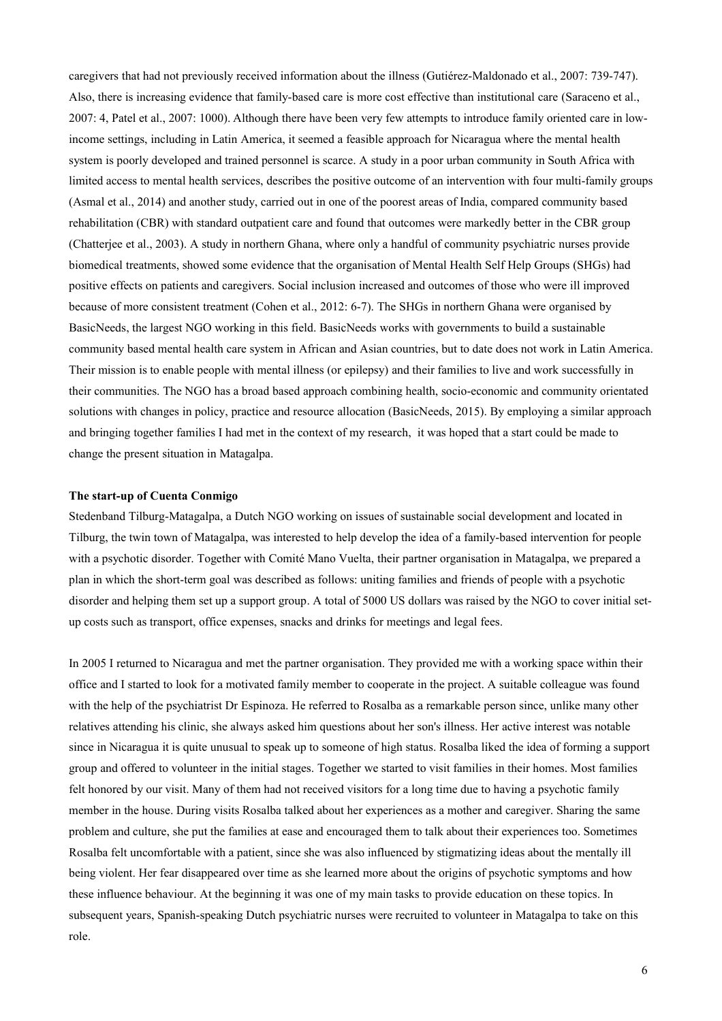caregivers that had not previously received information about the illness (Gutiérez-Maldonado et al., 2007: 739-747). Also, there is increasing evidence that family-based care is more cost effective than institutional care (Saraceno et al., 2007: 4, Patel et al., 2007: 1000). Although there have been very few attempts to introduce family oriented care in lowincome settings, including in Latin America, it seemed a feasible approach for Nicaragua where the mental health system is poorly developed and trained personnel is scarce. A study in a poor urban community in South Africa with limited access to mental health services, describes the positive outcome of an intervention with four multi-family groups (Asmal et al., 2014) and another study, carried out in one of the poorest areas of India, compared community based rehabilitation (CBR) with standard outpatient care and found that outcomes were markedly better in the CBR group (Chatterjee et al., 2003). A study in northern Ghana, where only a handful of community psychiatric nurses provide biomedical treatments, showed some evidence that the organisation of Mental Health Self Help Groups (SHGs) had positive effects on patients and caregivers. Social inclusion increased and outcomes of those who were ill improved because of more consistent treatment (Cohen et al., 2012: 6-7). The SHGs in northern Ghana were organised by BasicNeeds, the largest NGO working in this field. BasicNeeds works with governments to build a sustainable community based mental health care system in African and Asian countries, but to date does not work in Latin America. Their mission is to enable people with mental illness (or epilepsy) and their families to live and work successfully in their communities. The NGO has a broad based approach combining health, socio-economic and community orientated solutions with changes in policy, practice and resource allocation (BasicNeeds, 2015). By employing a similar approach and bringing together families I had met in the context of my research, it was hoped that a start could be made to change the present situation in Matagalpa.

# **The start-up of Cuenta Conmigo**

Stedenband Tilburg-Matagalpa, a Dutch NGO working on issues of sustainable social development and located in Tilburg, the twin town of Matagalpa, was interested to help develop the idea of a family-based intervention for people with a psychotic disorder. Together with Comité Mano Vuelta, their partner organisation in Matagalpa, we prepared a plan in which the short-term goal was described as follows: uniting families and friends of people with a psychotic disorder and helping them set up a support group. A total of 5000 US dollars was raised by the NGO to cover initial setup costs such as transport, office expenses, snacks and drinks for meetings and legal fees.

In 2005 I returned to Nicaragua and met the partner organisation. They provided me with a working space within their office and I started to look for a motivated family member to cooperate in the project. A suitable colleague was found with the help of the psychiatrist Dr Espinoza. He referred to Rosalba as a remarkable person since, unlike many other relatives attending his clinic, she always asked him questions about her son's illness. Her active interest was notable since in Nicaragua it is quite unusual to speak up to someone of high status. Rosalba liked the idea of forming a support group and offered to volunteer in the initial stages. Together we started to visit families in their homes. Most families felt honored by our visit. Many of them had not received visitors for a long time due to having a psychotic family member in the house. During visits Rosalba talked about her experiences as a mother and caregiver. Sharing the same problem and culture, she put the families at ease and encouraged them to talk about their experiences too. Sometimes Rosalba felt uncomfortable with a patient, since she was also influenced by stigmatizing ideas about the mentally ill being violent. Her fear disappeared over time as she learned more about the origins of psychotic symptoms and how these influence behaviour. At the beginning it was one of my main tasks to provide education on these topics. In subsequent years, Spanish-speaking Dutch psychiatric nurses were recruited to volunteer in Matagalpa to take on this role.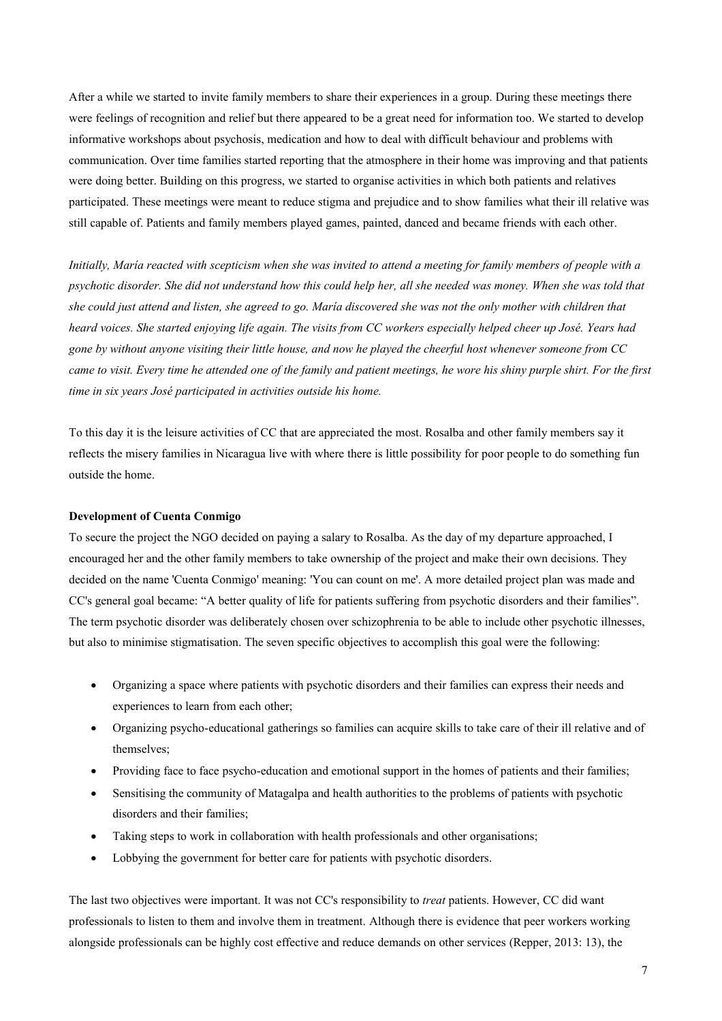After a while we started to invite family members to share their experiences in a group. During these meetings there were feelings of recognition and relief but there appeared to be a great need for information too. We started to develop informative workshops about psychosis, medication and how to deal with difficult behaviour and problems with communication. Over time families started reporting that the atmosphere in their home was improving and that patients were doing better. Building on this progress, we started to organise activities in which both patients and relatives participated. These meetings were meant to reduce stigma and prejudice and to show families what their ill relative was still capable of. Patients and family members played games, painted, danced and became friends with each other.

*Initially, María reacted with scepticism when she was invited to attend a meeting for family members of people with a psychotic disorder. She did not understand how this could help her, all she needed was money. When she was told that she could just attend and listen, she agreed to go. María discovered she was not the only mother with children that heard voices. She started enjoying life again. The visits from CC workers especially helped cheer up José. Years had gone by without anyone visiting their little house, and now he played the cheerful host whenever someone from CC came to visit. Every time he attended one of the family and patient meetings, he wore his shiny purple shirt. For the first time in six years José participated in activities outside his home.*

To this day it is the leisure activities of CC that are appreciated the most. Rosalba and other family members say it reflects the misery families in Nicaragua live with where there is little possibility for poor people to do something fun outside the home.

## **Development of Cuenta Conmigo**

To secure the project the NGO decided on paying a salary to Rosalba. As the day of my departure approached, I encouraged her and the other family members to take ownership of the project and make their own decisions. They decided on the name 'Cuenta Conmigo' meaning: 'You can count on me'. A more detailed project plan was made and CC's general goal became: "A better quality of life for patients suffering from psychotic disorders and their families". The term psychotic disorder was deliberately chosen over schizophrenia to be able to include other psychotic illnesses, but also to minimise stigmatisation. The seven specific objectives to accomplish this goal were the following:

- Organizing a space where patients with psychotic disorders and their families can express their needs and experiences to learn from each other;
- Organizing psycho-educational gatherings so families can acquire skills to take care of their ill relative and of themselves;
- Providing face to face psycho-education and emotional support in the homes of patients and their families;
- Sensitising the community of Matagalpa and health authorities to the problems of patients with psychotic disorders and their families;
- Taking steps to work in collaboration with health professionals and other organisations;
- Lobbying the government for better care for patients with psychotic disorders.

The last two objectives were important. It was not CC's responsibility to *treat* patients. However, CC did want professionals to listen to them and involve them in treatment. Although there is evidence that peer workers working alongside professionals can be highly cost effective and reduce demands on other services (Repper, 2013: 13), the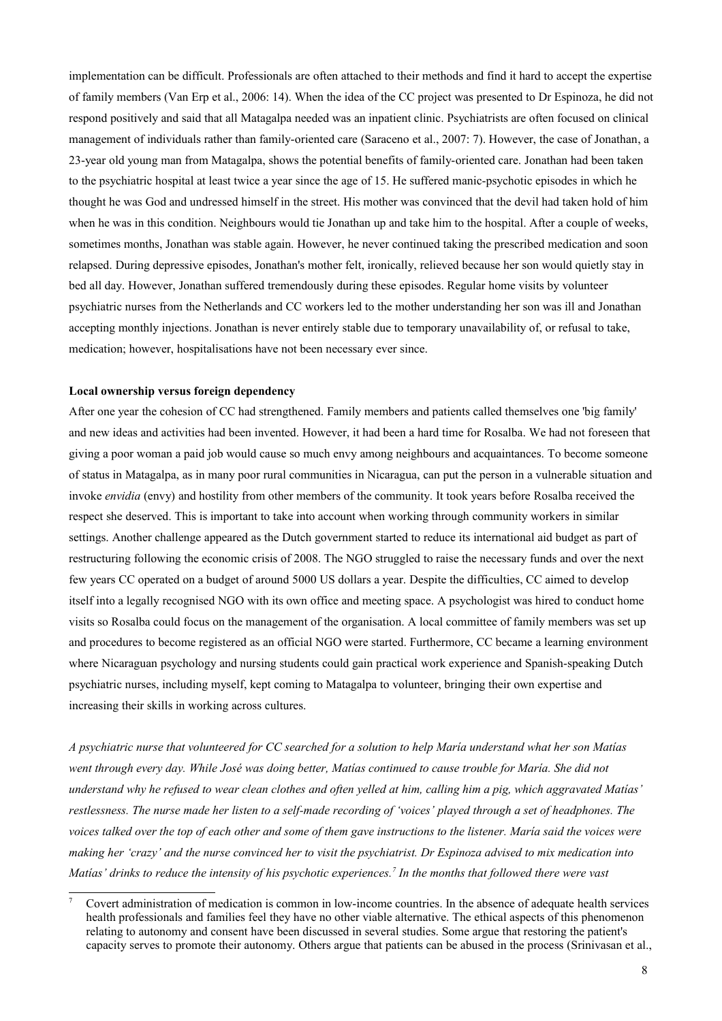implementation can be difficult. Professionals are often attached to their methods and find it hard to accept the expertise of family members (Van Erp et al., 2006: 14). When the idea of the CC project was presented to Dr Espinoza, he did not respond positively and said that all Matagalpa needed was an inpatient clinic. Psychiatrists are often focused on clinical management of individuals rather than family-oriented care (Saraceno et al., 2007: 7). However, the case of Jonathan, a 23-year old young man from Matagalpa, shows the potential benefits of family-oriented care. Jonathan had been taken to the psychiatric hospital at least twice a year since the age of 15. He suffered manic-psychotic episodes in which he thought he was God and undressed himself in the street. His mother was convinced that the devil had taken hold of him when he was in this condition. Neighbours would tie Jonathan up and take him to the hospital. After a couple of weeks, sometimes months, Jonathan was stable again. However, he never continued taking the prescribed medication and soon relapsed. During depressive episodes, Jonathan's mother felt, ironically, relieved because her son would quietly stay in bed all day. However, Jonathan suffered tremendously during these episodes. Regular home visits by volunteer psychiatric nurses from the Netherlands and CC workers led to the mother understanding her son was ill and Jonathan accepting monthly injections. Jonathan is never entirely stable due to temporary unavailability of, or refusal to take, medication; however, hospitalisations have not been necessary ever since.

# **Local ownership versus foreign dependency**

After one year the cohesion of CC had strengthened. Family members and patients called themselves one 'big family' and new ideas and activities had been invented. However, it had been a hard time for Rosalba. We had not foreseen that giving a poor woman a paid job would cause so much envy among neighbours and acquaintances. To become someone of status in Matagalpa, as in many poor rural communities in Nicaragua, can put the person in a vulnerable situation and invoke *envidia* (envy) and hostility from other members of the community. It took years before Rosalba received the respect she deserved. This is important to take into account when working through community workers in similar settings. Another challenge appeared as the Dutch government started to reduce its international aid budget as part of restructuring following the economic crisis of 2008. The NGO struggled to raise the necessary funds and over the next few years CC operated on a budget of around 5000 US dollars a year. Despite the difficulties, CC aimed to develop itself into a legally recognised NGO with its own office and meeting space. A psychologist was hired to conduct home visits so Rosalba could focus on the management of the organisation. A local committee of family members was set up and procedures to become registered as an official NGO were started. Furthermore, CC became a learning environment where Nicaraguan psychology and nursing students could gain practical work experience and Spanish-speaking Dutch psychiatric nurses, including myself, kept coming to Matagalpa to volunteer, bringing their own expertise and increasing their skills in working across cultures.

*A psychiatric nurse that volunteered for CC searched for a solution to help María understand what her son Matías*  went through every day. While José was doing better, Matías continued to cause trouble for María. She did not *understand why he refused to wear clean clothes and often yelled at him, calling him a pig, which aggravated Matías' restlessness. The nurse made her listen to a self-made recording of 'voices' played through a set of headphones. The voices talked over the top of each other and some of them gave instructions to the listener. María said the voices were making her 'crazy' and the nurse convinced her to visit the psychiatrist. Dr Espinoza advised to mix medication into Matías' drinks to reduce the intensity of his psychotic experiences.[7](#page-7-0) In the months that followed there were vast* 

<span id="page-7-0"></span><sup>7</sup> Covert administration of medication is common in low-income countries. In the absence of adequate health services health professionals and families feel they have no other viable alternative. The ethical aspects of this phenomenon relating to autonomy and consent have been discussed in several studies. Some argue that restoring the patient's capacity serves to promote their autonomy. Others argue that patients can be abused in the process (Srinivasan et al.,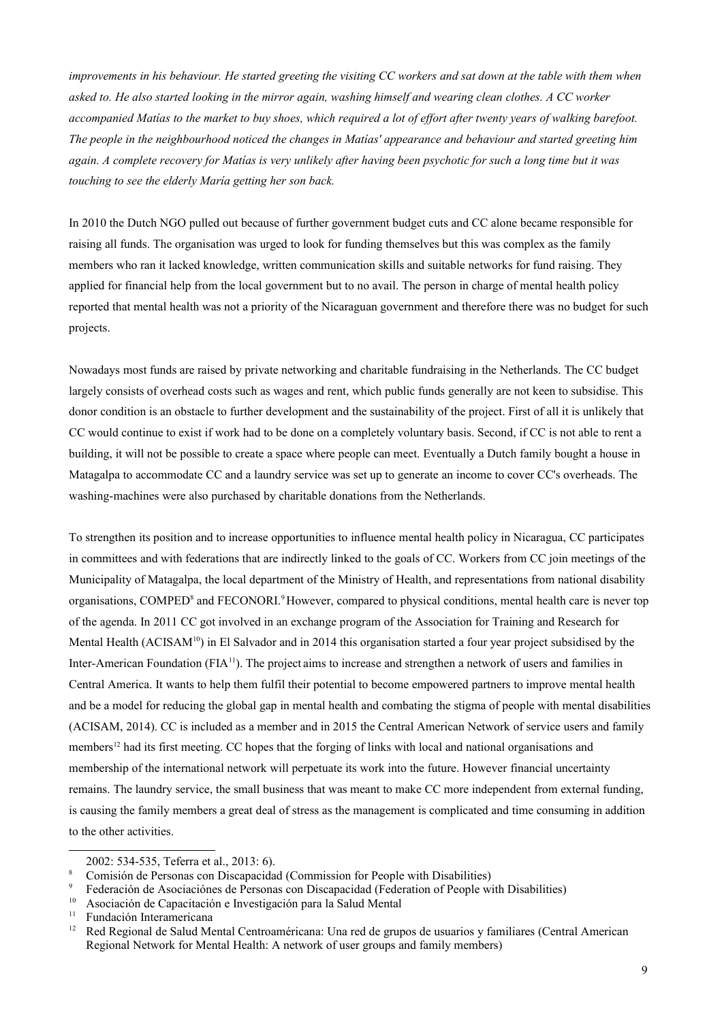*improvements in his behaviour. He started greeting the visiting CC workers and sat down at the table with them when asked to. He also started looking in the mirror again, washing himself and wearing clean clothes. A CC worker accompanied Matías to the market to buy shoes, which required a lot of effort after twenty years of walking barefoot. The people in the neighbourhood noticed the changes in Matías' appearance and behaviour and started greeting him again. A complete recovery for Matías is very unlikely after having been psychotic for such a long time but it was touching to see the elderly María getting her son back.*

In 2010 the Dutch NGO pulled out because of further government budget cuts and CC alone became responsible for raising all funds. The organisation was urged to look for funding themselves but this was complex as the family members who ran it lacked knowledge, written communication skills and suitable networks for fund raising. They applied for financial help from the local government but to no avail. The person in charge of mental health policy reported that mental health was not a priority of the Nicaraguan government and therefore there was no budget for such projects.

Nowadays most funds are raised by private networking and charitable fundraising in the Netherlands. The CC budget largely consists of overhead costs such as wages and rent, which public funds generally are not keen to subsidise. This donor condition is an obstacle to further development and the sustainability of the project. First of all it is unlikely that CC would continue to exist if work had to be done on a completely voluntary basis. Second, if CC is not able to rent a building, it will not be possible to create a space where people can meet. Eventually a Dutch family bought a house in Matagalpa to accommodate CC and a laundry service was set up to generate an income to cover CC's overheads. The washing-machines were also purchased by charitable donations from the Netherlands.

To strengthen its position and to increase opportunities to influence mental health policy in Nicaragua, CC participates in committees and with federations that are indirectly linked to the goals of CC. Workers from CC join meetings of the Municipality of Matagalpa, the local department of the Ministry of Health, and representations from national disability organisations, COMPED<sup>[8](#page-8-0)</sup> and FECONORI.<sup>[9](#page-8-1)</sup> However, compared to physical conditions, mental health care is never top of the agenda. In 2011 CC got involved in an exchange program of the Association for Training and Research for Mental Health (ACISAM<sup>[10](#page-8-2)</sup>) in El Salvador and in 2014 this organisation started a four year project subsidised by the Inter-American Foundation (FIA<sup>[11](#page-8-3)</sup>). The project aims to increase and strengthen a network of users and families in Central America. It wants to help them fulfil their potential to become empowered partners to improve mental health and be a model for reducing the global gap in mental health and combating the stigma of people with mental disabilities (ACISAM, 2014). CC is included as a member and in 2015 the Central American Network of service users and family members<sup>[12](#page-8-4)</sup> had its first meeting. CC hopes that the forging of links with local and national organisations and membership of the international network will perpetuate its work into the future. However financial uncertainty remains. The laundry service, the small business that was meant to make CC more independent from external funding, is causing the family members a great deal of stress as the management is complicated and time consuming in addition to the other activities.

<span id="page-8-0"></span><sup>2002: 534-535,</sup> Teferra et al., 2013: 6).

 $\frac{8}{2}$  Comisión de Personas con Discapacidad (Commission for People with Disabilities)

<span id="page-8-1"></span><sup>9</sup> Federación de Asociaciónes de Personas con Discapacidad (Federation of People with Disabilities)

<span id="page-8-2"></span><sup>&</sup>lt;sup>10</sup> Asociación de Capacitación e Investigación para la Salud Mental

<span id="page-8-3"></span><sup>&</sup>lt;sup>11</sup> Fundación Interamericana<br><sup>12</sup> Pod Peginal de Solud Me

<span id="page-8-4"></span><sup>12</sup> Red Regional de Salud Mental Centroaméricana: Una red de grupos de usuarios y familiares (Central American Regional Network for Mental Health: A network of user groups and family members)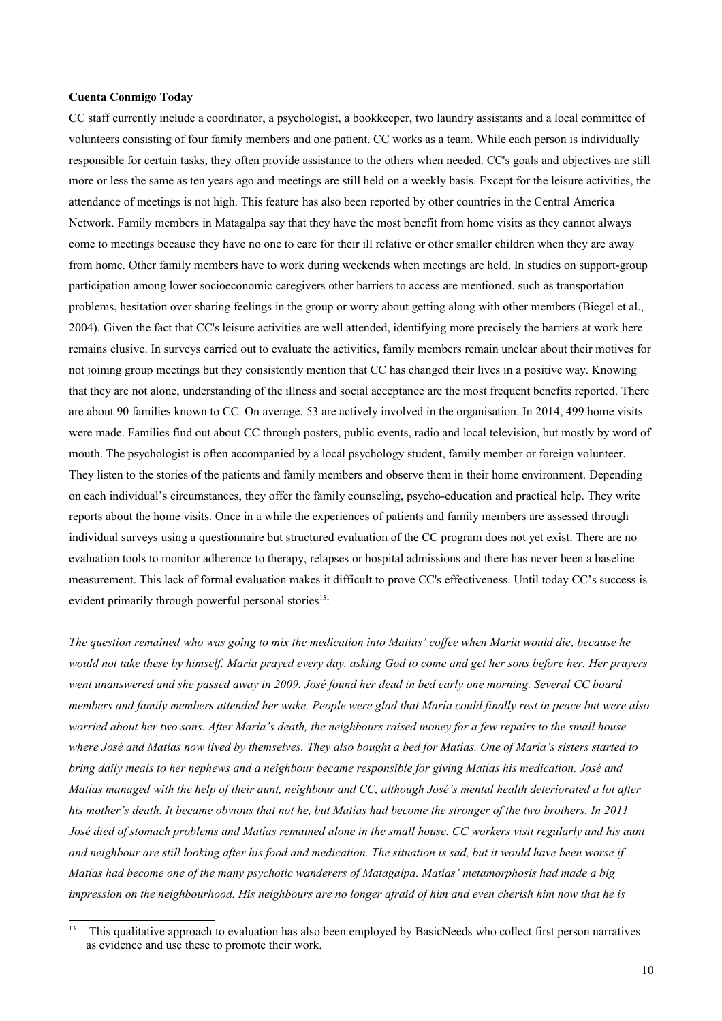### **Cuenta Conmigo Today**

CC staff currently include a coordinator, a psychologist, a bookkeeper, two laundry assistants and a local committee of volunteers consisting of four family members and one patient. CC works as a team. While each person is individually responsible for certain tasks, they often provide assistance to the others when needed. CC's goals and objectives are still more or less the same as ten years ago and meetings are still held on a weekly basis. Except for the leisure activities, the attendance of meetings is not high. This feature has also been reported by other countries in the Central America Network. Family members in Matagalpa say that they have the most benefit from home visits as they cannot always come to meetings because they have no one to care for their ill relative or other smaller children when they are away from home. Other family members have to work during weekends when meetings are held. In studies on support-group participation among lower socioeconomic caregivers other barriers to access are mentioned, such as transportation problems, hesitation over sharing feelings in the group or worry about getting along with other members (Biegel et al., 2004). Given the fact that CC's leisure activities are well attended, identifying more precisely the barriers at work here remains elusive. In surveys carried out to evaluate the activities, family members remain unclear about their motives for not joining group meetings but they consistently mention that CC has changed their lives in a positive way. Knowing that they are not alone, understanding of the illness and social acceptance are the most frequent benefits reported. There are about 90 families known to CC. On average, 53 are actively involved in the organisation. In 2014, 499 home visits were made. Families find out about CC through posters, public events, radio and local television, but mostly by word of mouth. The psychologist is often accompanied by a local psychology student, family member or foreign volunteer. They listen to the stories of the patients and family members and observe them in their home environment. Depending on each individual's circumstances, they offer the family counseling, psycho-education and practical help. They write reports about the home visits. Once in a while the experiences of patients and family members are assessed through individual surveys using a questionnaire but structured evaluation of the CC program does not yet exist. There are no evaluation tools to monitor adherence to therapy, relapses or hospital admissions and there has never been a baseline measurement. This lack of formal evaluation makes it difficult to prove CC's effectiveness. Until today CC's success is evident primarily through powerful personal stories<sup>[13](#page-9-0)</sup>:

*The question remained who was going to mix the medication into Matías' coffee when María would die, because he would not take these by himself. María prayed every day, asking God to come and get her sons before her. Her prayers went unanswered and she passed away in 2009. José found her dead in bed early one morning. Several CC board members and family members attended her wake. People were glad that María could finally rest in peace but were also worried about her two sons. After María's death, the neighbours raised money for a few repairs to the small house where José and Matías now lived by themselves. They also bought a bed for Matías. One of María's sisters started to bring daily meals to her nephews and a neighbour became responsible for giving Matías his medication. José and Matías managed with the help of their aunt, neighbour and CC, although José's mental health deteriorated a lot after his mother's death. It became obvious that not he, but Matías had become the stronger of the two brothers. In 2011 José died of stomach problems and Matías remained alone in the small house. CC workers visit regularly and his aunt and neighbour are still looking after his food and medication. The situation is sad, but it would have been worse if Matías had become one of the many psychotic wanderers of Matagalpa. Matías' metamorphosis had made a big impression on the neighbourhood. His neighbours are no longer afraid of him and even cherish him now that he is* 

<span id="page-9-0"></span><sup>&</sup>lt;sup>13</sup> This qualitative approach to evaluation has also been employed by BasicNeeds who collect first person narratives as evidence and use these to promote their work.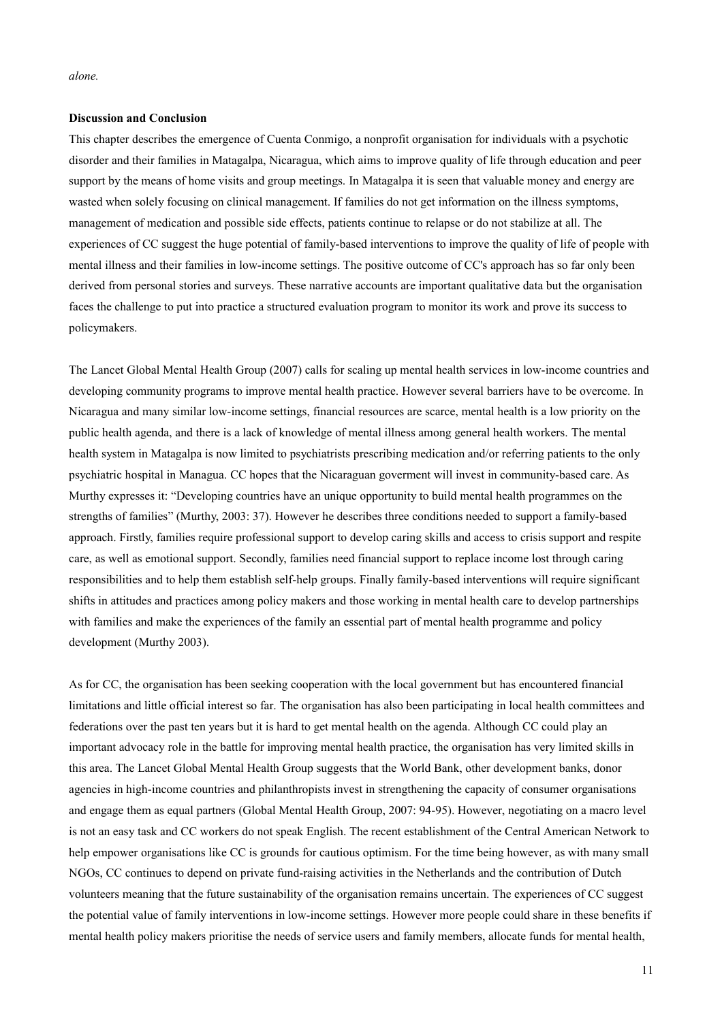*alone.*

#### **Discussion and Conclusion**

This chapter describes the emergence of Cuenta Conmigo, a nonprofit organisation for individuals with a psychotic disorder and their families in Matagalpa, Nicaragua, which aims to improve quality of life through education and peer support by the means of home visits and group meetings. In Matagalpa it is seen that valuable money and energy are wasted when solely focusing on clinical management. If families do not get information on the illness symptoms, management of medication and possible side effects, patients continue to relapse or do not stabilize at all. The experiences of CC suggest the huge potential of family-based interventions to improve the quality of life of people with mental illness and their families in low-income settings. The positive outcome of CC's approach has so far only been derived from personal stories and surveys. These narrative accounts are important qualitative data but the organisation faces the challenge to put into practice a structured evaluation program to monitor its work and prove its success to policymakers.

The Lancet Global Mental Health Group (2007) calls for scaling up mental health services in low-income countries and developing community programs to improve mental health practice. However several barriers have to be overcome. In Nicaragua and many similar low-income settings, financial resources are scarce, mental health is a low priority on the public health agenda, and there is a lack of knowledge of mental illness among general health workers. The mental health system in Matagalpa is now limited to psychiatrists prescribing medication and/or referring patients to the only psychiatric hospital in Managua. CC hopes that the Nicaraguan goverment will invest in community-based care. As Murthy expresses it: "Developing countries have an unique opportunity to build mental health programmes on the strengths of families" (Murthy, 2003: 37). However he describes three conditions needed to support a family-based approach. Firstly, families require professional support to develop caring skills and access to crisis support and respite care, as well as emotional support. Secondly, families need financial support to replace income lost through caring responsibilities and to help them establish self-help groups. Finally family-based interventions will require significant shifts in attitudes and practices among policy makers and those working in mental health care to develop partnerships with families and make the experiences of the family an essential part of mental health programme and policy development (Murthy 2003).

As for CC, the organisation has been seeking cooperation with the local government but has encountered financial limitations and little official interest so far. The organisation has also been participating in local health committees and federations over the past ten years but it is hard to get mental health on the agenda. Although CC could play an important advocacy role in the battle for improving mental health practice, the organisation has very limited skills in this area. The Lancet Global Mental Health Group suggests that the World Bank, other development banks, donor agencies in high-income countries and philanthropists invest in strengthening the capacity of consumer organisations and engage them as equal partners (Global Mental Health Group, 2007: 94-95). However, negotiating on a macro level is not an easy task and CC workers do not speak English. The recent establishment of the Central American Network to help empower organisations like CC is grounds for cautious optimism. For the time being however, as with many small NGOs, CC continues to depend on private fund-raising activities in the Netherlands and the contribution of Dutch volunteers meaning that the future sustainability of the organisation remains uncertain. The experiences of CC suggest the potential value of family interventions in low-income settings. However more people could share in these benefits if mental health policy makers prioritise the needs of service users and family members, allocate funds for mental health,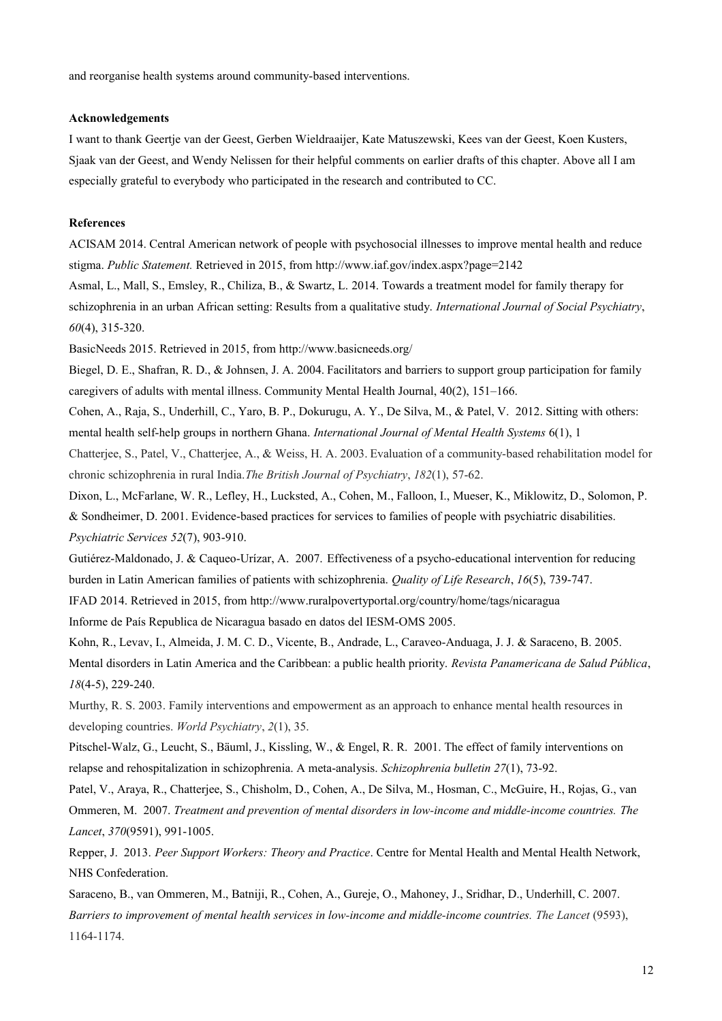and reorganise health systems around community-based interventions.

#### **Acknowledgements**

I want to thank Geertje van der Geest, Gerben Wieldraaijer, Kate Matuszewski, Kees van der Geest, Koen Kusters, Sjaak van der Geest, and Wendy Nelissen for their helpful comments on earlier drafts of this chapter. Above all I am especially grateful to everybody who participated in the research and contributed to CC.

#### **References**

ACISAM 2014. Central American network of people with psychosocial illnesses to improve mental health and reduce stigma. *Public Statement.* Retrieved in 2015, from http://www.iaf.gov/index.aspx?page=2142

Asmal, L., Mall, S., Emsley, R., Chiliza, B., & Swartz, L. 2014. Towards a treatment model for family therapy for schizophrenia in an urban African setting: Results from a qualitative study. *International Journal of Social Psychiatry*, *60*(4), 315-320.

BasicNeeds 2015. Retrieved in 2015, from<http://www.basicneeds.org/>

Biegel, D. E., Shafran, R. D., & Johnsen, J. A. 2004. Facilitators and barriers to support group participation for family caregivers of adults with mental illness. Community Mental Health Journal, 40(2), 151–166.

Cohen, A., Raja, S., Underhill, C., Yaro, B. P., Dokurugu, A. Y., De Silva, M., & Patel, V. 2012. Sitting with others: mental health self-help groups in northern Ghana. *International Journal of Mental Health Systems* 6(1), 1

Chatterjee, S., Patel, V., Chatterjee, A., & Weiss, H. A. 2003. Evaluation of a community-based rehabilitation model for chronic schizophrenia in rural India.*The British Journal of Psychiatry*, *182*(1), 57-62.

Dixon, L., McFarlane, W. R., Lefley, H., Lucksted, A., Cohen, M., Falloon, I., Mueser, K., Miklowitz, D., Solomon, P. & Sondheimer, D. 2001. Evidence-based practices for services to families of people with psychiatric disabilities. *Psychiatric Services 52*(7), 903-910.

Gutiérez-Maldonado, J. & Caqueo-Urízar, A. 2007. Effectiveness of a psycho-educational intervention for reducing burden in Latin American families of patients with schizophrenia. *Quality of Life Research*, *16*(5), 739-747.

IFAD 2014. Retrieved in 2015, from<http://www.ruralpovertyportal.org/country/home/tags/nicaragua>

Informe de País Republica de Nicaragua basado en datos del IESM-OMS 2005.

Kohn, R., Levav, I., Almeida, J. M. C. D., Vicente, B., Andrade, L., Caraveo-Anduaga, J. J. & Saraceno, B. 2005. Mental disorders in Latin America and the Caribbean: a public health priority. *Revista Panamericana de Salud Pública*, *18*(4-5), 229-240.

Murthy, R. S. 2003. Family interventions and empowerment as an approach to enhance mental health resources in developing countries. *World Psychiatry*, *2*(1), 35.

Pitschel-Walz, G., Leucht, S., Bäuml, J., Kissling, W., & Engel, R. R. 2001. The effect of family interventions on relapse and rehospitalization in schizophrenia. A meta-analysis. *Schizophrenia bulletin 27*(1), 73-92.

Patel, V., Araya, R., Chatterjee, S., Chisholm, D., Cohen, A., De Silva, M., Hosman, C., McGuire, H., Rojas, G., van Ommeren, M. 2007. *Treatment and prevention of mental disorders in low-income and middle-income countries. The Lancet*, *370*(9591), 991-1005.

Repper, J. 2013. *Peer Support Workers: Theory and Practice*. Centre for Mental Health and Mental Health Network, NHS Confederation.

Saraceno, B., van Ommeren, M., Batniji, R., Cohen, A., Gureje, O., Mahoney, J., Sridhar, D., Underhill, C. 2007. *Barriers to improvement of mental health services in low-income and middle-income countries. The Lancet* (9593), 1164-1174.